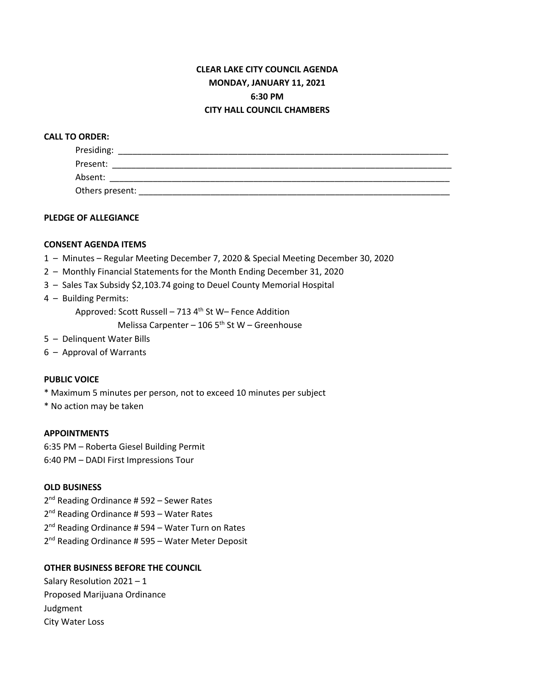# **CLEAR LAKE CITY COUNCIL AGENDA MONDAY, JANUARY 11, 2021 6:30 PM CITY HALL COUNCIL CHAMBERS**

## **CALL TO ORDER:**

| Presiding:      |  |  |
|-----------------|--|--|
| Present:        |  |  |
| Absent:         |  |  |
| Others present: |  |  |

## **PLEDGE OF ALLEGIANCE**

## **CONSENT AGENDA ITEMS**

- 1 Minutes Regular Meeting December 7, 2020 & Special Meeting December 30, 2020
- 2 Monthly Financial Statements for the Month Ending December 31, 2020
- 3 Sales Tax Subsidy \$2,103.74 going to Deuel County Memorial Hospital
- 4 Building Permits:

Approved: Scott Russell – 713 4th St W– Fence Addition

Melissa Carpenter – 106  $5<sup>th</sup>$  St W – Greenhouse

- 5 Delinquent Water Bills
- 6 Approval of Warrants

### **PUBLIC VOICE**

\* Maximum 5 minutes per person, not to exceed 10 minutes per subject

\* No action may be taken

#### **APPOINTMENTS**

6:35 PM – Roberta Giesel Building Permit 6:40 PM – DADI First Impressions Tour

### **OLD BUSINESS**

2<sup>nd</sup> Reading Ordinance # 592 – Sewer Rates 2<sup>nd</sup> Reading Ordinance # 593 - Water Rates 2<sup>nd</sup> Reading Ordinance # 594 – Water Turn on Rates 2<sup>nd</sup> Reading Ordinance # 595 - Water Meter Deposit

## **OTHER BUSINESS BEFORE THE COUNCIL**

Salary Resolution 2021 – 1 Proposed Marijuana Ordinance Judgment City Water Loss